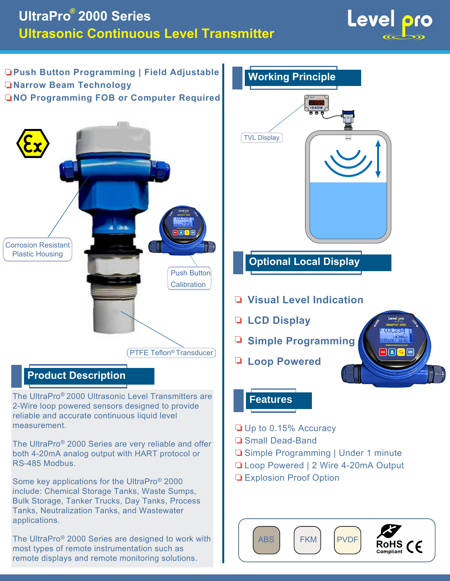# **UltraPro 2000 Series Ultrasonic Continuous Level Transmitter**



**Push Button Programming | Field Adjustable Narrow Beam Technology NO Programming FOB or Computer Required**



## **Product Description**

The UltraPro® 2000 Ultrasonic Level Transmitters are 2-Wire loop powered sensors designed to provide reliable and accurate continuous liquid level measurement.

The UltraPro® 2000 Series are very reliable and offer both 4-20mA analog output with HART protocol or RS-485 Modbus.

Some key applications for the UltraPro® 2000 include: Chemical Storage Tanks, Waste Sumps, Bulk Storage, Tanker Trucks, Day Tanks, Process Tanks, Neutralization Tanks, and Wastewater applications.

The UltraPro® 2000 Series are designed to work with most types of remote instrumentation such as remote displays and remote monitoring solutions.